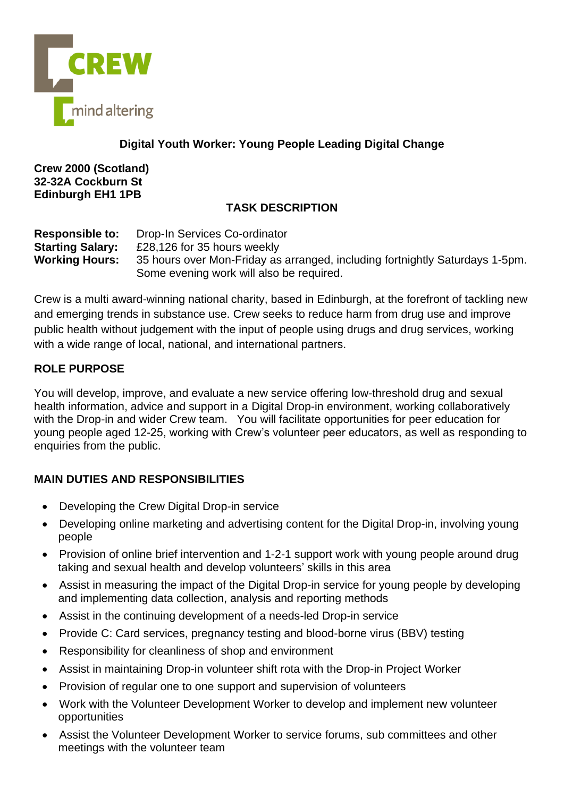

### **Digital Youth Worker: Young People Leading Digital Change**

**Crew 2000 (Scotland) 32-32A Cockburn St Edinburgh EH1 1PB**

## **TASK DESCRIPTION**

**Responsible to:** Drop-In Services Co-ordinator **Starting Salary:** £28,126 for 35 hours weekly **Working Hours:** 35 hours over Mon-Friday as arranged, including fortnightly Saturdays 1-5pm. Some evening work will also be required.

Crew is a multi award-winning national charity, based in Edinburgh, at the forefront of tackling new and emerging trends in substance use. Crew seeks to reduce harm from drug use and improve public health without judgement with the input of people using drugs and drug services, working with a wide range of local, national, and international partners.

#### **ROLE PURPOSE**

You will develop, improve, and evaluate a new service offering low-threshold drug and sexual health information, advice and support in a Digital Drop-in environment, working collaboratively with the Drop-in and wider Crew team. You will facilitate opportunities for peer education for young people aged 12-25, working with Crew's volunteer peer educators, as well as responding to enquiries from the public.

# **MAIN DUTIES AND RESPONSIBILITIES**

- Developing the Crew Digital Drop-in service
- Developing online marketing and advertising content for the Digital Drop-in, involving young people
- Provision of online brief intervention and 1-2-1 support work with young people around drug taking and sexual health and develop volunteers' skills in this area
- Assist in measuring the impact of the Digital Drop-in service for young people by developing and implementing data collection, analysis and reporting methods
- Assist in the continuing development of a needs-led Drop-in service
- Provide C: Card services, pregnancy testing and blood-borne virus (BBV) testing
- Responsibility for cleanliness of shop and environment
- Assist in maintaining Drop-in volunteer shift rota with the Drop-in Project Worker
- Provision of regular one to one support and supervision of volunteers
- Work with the Volunteer Development Worker to develop and implement new volunteer opportunities
- Assist the Volunteer Development Worker to service forums, sub committees and other meetings with the volunteer team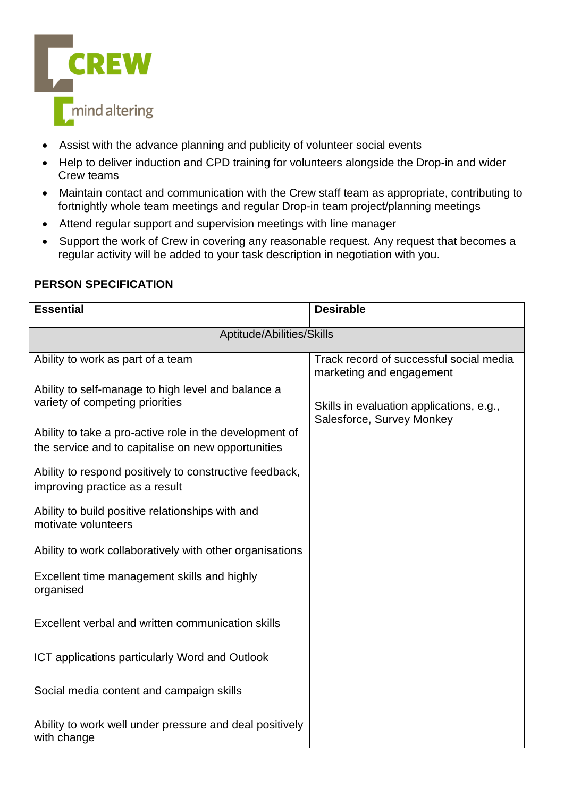

- Assist with the advance planning and publicity of volunteer social events
- Help to deliver induction and CPD training for volunteers alongside the Drop-in and wider Crew teams
- Maintain contact and communication with the Crew staff team as appropriate, contributing to fortnightly whole team meetings and regular Drop-in team project/planning meetings
- Attend regular support and supervision meetings with line manager
- Support the work of Crew in covering any reasonable request. Any request that becomes a regular activity will be added to your task description in negotiation with you.

## **PERSON SPECIFICATION**

| <b>Essential</b>                                                                          | <b>Desirable</b>                                                    |  |
|-------------------------------------------------------------------------------------------|---------------------------------------------------------------------|--|
| Aptitude/Abilities/Skills                                                                 |                                                                     |  |
| Ability to work as part of a team                                                         | Track record of successful social media<br>marketing and engagement |  |
| Ability to self-manage to high level and balance a<br>variety of competing priorities     | Skills in evaluation applications, e.g.,                            |  |
| Ability to take a pro-active role in the development of                                   | Salesforce, Survey Monkey                                           |  |
| the service and to capitalise on new opportunities                                        |                                                                     |  |
| Ability to respond positively to constructive feedback,<br>improving practice as a result |                                                                     |  |
| Ability to build positive relationships with and<br>motivate volunteers                   |                                                                     |  |
| Ability to work collaboratively with other organisations                                  |                                                                     |  |
| Excellent time management skills and highly<br>organised                                  |                                                                     |  |
| Excellent verbal and written communication skills                                         |                                                                     |  |
| ICT applications particularly Word and Outlook                                            |                                                                     |  |
| Social media content and campaign skills                                                  |                                                                     |  |
| Ability to work well under pressure and deal positively<br>with change                    |                                                                     |  |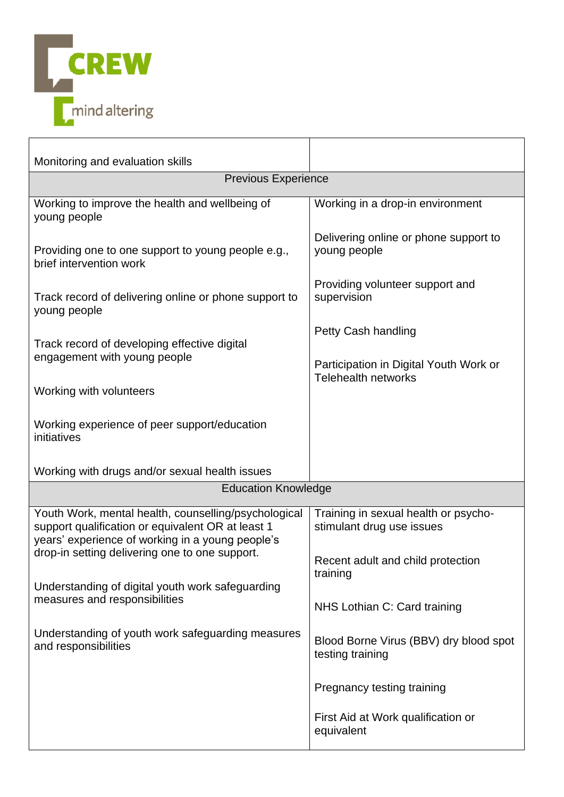

| Monitoring and evaluation skills                                                                                                                               |                                                                      |  |
|----------------------------------------------------------------------------------------------------------------------------------------------------------------|----------------------------------------------------------------------|--|
| <b>Previous Experience</b>                                                                                                                                     |                                                                      |  |
| Working to improve the health and wellbeing of<br>young people                                                                                                 | Working in a drop-in environment                                     |  |
| Providing one to one support to young people e.g.,<br>brief intervention work                                                                                  | Delivering online or phone support to<br>young people                |  |
| Track record of delivering online or phone support to<br>young people                                                                                          | Providing volunteer support and<br>supervision                       |  |
| Track record of developing effective digital                                                                                                                   | Petty Cash handling                                                  |  |
| engagement with young people                                                                                                                                   | Participation in Digital Youth Work or<br><b>Telehealth networks</b> |  |
| Working with volunteers                                                                                                                                        |                                                                      |  |
| Working experience of peer support/education<br>initiatives                                                                                                    |                                                                      |  |
| Working with drugs and/or sexual health issues                                                                                                                 |                                                                      |  |
| <b>Education Knowledge</b>                                                                                                                                     |                                                                      |  |
| Youth Work, mental health, counselling/psychological<br>support qualification or equivalent OR at least 1<br>years' experience of working in a young people's  | Training in sexual health or psycho-<br>stimulant drug use issues    |  |
| drop-in setting delivering one to one support.                                                                                                                 | Recent adult and child protection<br>training                        |  |
| Understanding of digital youth work safeguarding<br>measures and responsibilities<br>Understanding of youth work safeguarding measures<br>and responsibilities | NHS Lothian C: Card training                                         |  |
|                                                                                                                                                                | Blood Borne Virus (BBV) dry blood spot<br>testing training           |  |
|                                                                                                                                                                | Pregnancy testing training                                           |  |
|                                                                                                                                                                | First Aid at Work qualification or<br>equivalent                     |  |